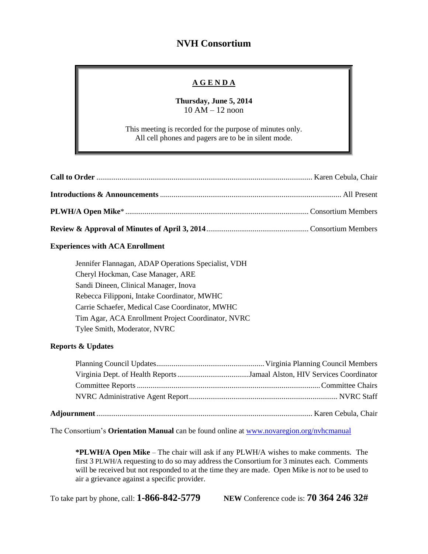# **NVH Consortium**

### **A G E N D A**

**Thursday, June 5, 2014** 10 AM – 12 noon

This meeting is recorded for the purpose of minutes only. All cell phones and pagers are to be in silent mode.

### **Experiences with ACA Enrollment**

Jennifer Flannagan, ADAP Operations Specialist, VDH Cheryl Hockman, Case Manager, ARE Sandi Dineen, Clinical Manager, Inova Rebecca Filipponi, Intake Coordinator, MWHC Carrie Schaefer, Medical Case Coordinator, MWHC Tim Agar, ACA Enrollment Project Coordinator, NVRC Tylee Smith, Moderator, NVRC

#### **Reports & Updates**

The Consortium's **Orientation Manual** can be found online at [www.novaregion.org/nvhcmanual](http://www.novaregion.org/nvhcmanual)

**\*PLWH/A Open Mike** – The chair will ask if any PLWH/A wishes to make comments. The first 3 PLWH/A requesting to do so may address the Consortium for 3 minutes each. Comments will be received but not responded to at the time they are made. Open Mike is *not* to be used to air a grievance against a specific provider.

To take part by phone, call: **1-866-842-5779 NEW** Conference code is: **70 364 246 32#**